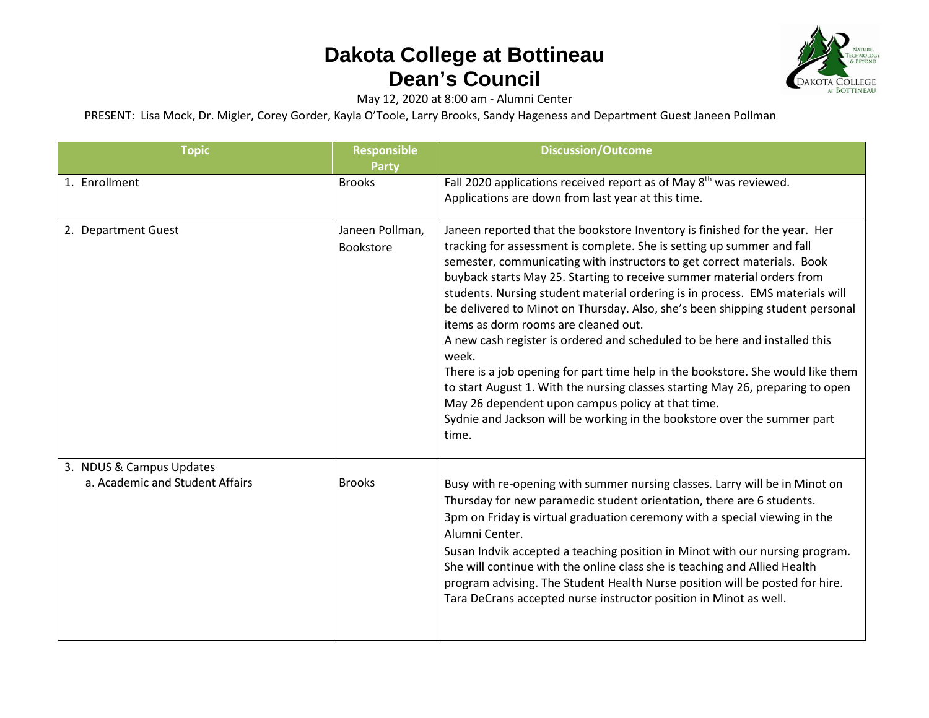

May 12, 2020 at 8:00 am - Alumni Center

PRESENT: Lisa Mock, Dr. Migler, Corey Gorder, Kayla O'Toole, Larry Brooks, Sandy Hageness and Department Guest Janeen Pollman

| <b>Topic</b>                                                | Responsible<br><b>Party</b>         | <b>Discussion/Outcome</b>                                                                                                                                                                                                                                                                                                                                                                                                                                                                                                                                                                                                                                                                                                                                                                                                                                                                                                 |
|-------------------------------------------------------------|-------------------------------------|---------------------------------------------------------------------------------------------------------------------------------------------------------------------------------------------------------------------------------------------------------------------------------------------------------------------------------------------------------------------------------------------------------------------------------------------------------------------------------------------------------------------------------------------------------------------------------------------------------------------------------------------------------------------------------------------------------------------------------------------------------------------------------------------------------------------------------------------------------------------------------------------------------------------------|
| 1. Enrollment                                               | <b>Brooks</b>                       | Fall 2020 applications received report as of May 8 <sup>th</sup> was reviewed.<br>Applications are down from last year at this time.                                                                                                                                                                                                                                                                                                                                                                                                                                                                                                                                                                                                                                                                                                                                                                                      |
| 2. Department Guest                                         | Janeen Pollman,<br><b>Bookstore</b> | Janeen reported that the bookstore Inventory is finished for the year. Her<br>tracking for assessment is complete. She is setting up summer and fall<br>semester, communicating with instructors to get correct materials. Book<br>buyback starts May 25. Starting to receive summer material orders from<br>students. Nursing student material ordering is in process. EMS materials will<br>be delivered to Minot on Thursday. Also, she's been shipping student personal<br>items as dorm rooms are cleaned out.<br>A new cash register is ordered and scheduled to be here and installed this<br>week.<br>There is a job opening for part time help in the bookstore. She would like them<br>to start August 1. With the nursing classes starting May 26, preparing to open<br>May 26 dependent upon campus policy at that time.<br>Sydnie and Jackson will be working in the bookstore over the summer part<br>time. |
| 3. NDUS & Campus Updates<br>a. Academic and Student Affairs | <b>Brooks</b>                       | Busy with re-opening with summer nursing classes. Larry will be in Minot on<br>Thursday for new paramedic student orientation, there are 6 students.<br>3pm on Friday is virtual graduation ceremony with a special viewing in the<br>Alumni Center.<br>Susan Indvik accepted a teaching position in Minot with our nursing program.<br>She will continue with the online class she is teaching and Allied Health<br>program advising. The Student Health Nurse position will be posted for hire.<br>Tara DeCrans accepted nurse instructor position in Minot as well.                                                                                                                                                                                                                                                                                                                                                    |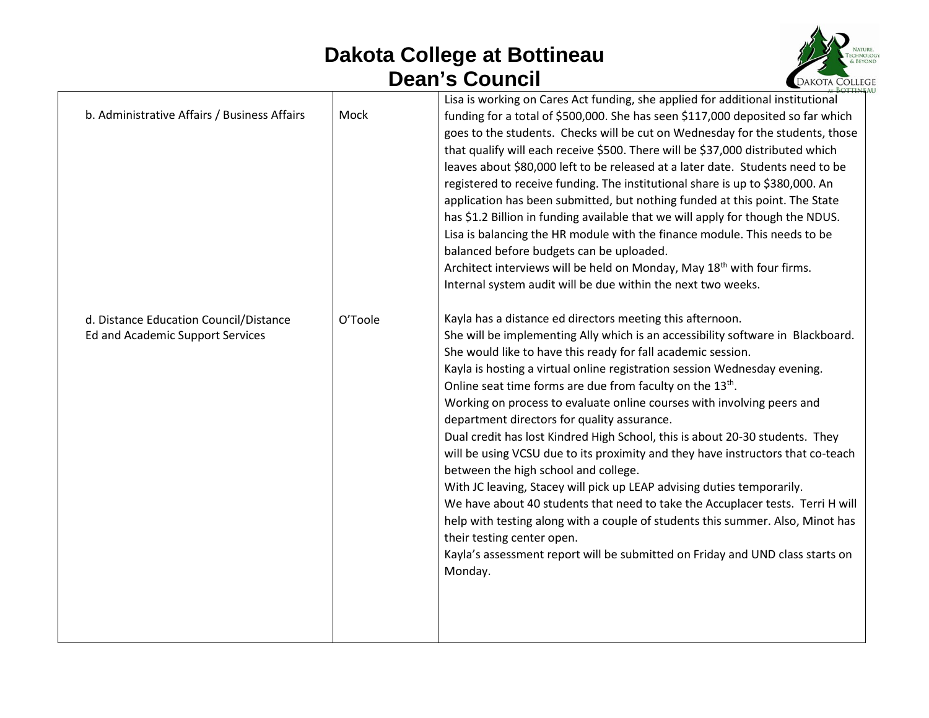

| b. Administrative Affairs / Business Affairs                               | Mock    | Lisa is working on Cares Act funding, she applied for additional institutional<br>funding for a total of \$500,000. She has seen \$117,000 deposited so far which<br>goes to the students. Checks will be cut on Wednesday for the students, those<br>that qualify will each receive \$500. There will be \$37,000 distributed which<br>leaves about \$80,000 left to be released at a later date. Students need to be<br>registered to receive funding. The institutional share is up to \$380,000. An<br>application has been submitted, but nothing funded at this point. The State<br>has \$1.2 Billion in funding available that we will apply for though the NDUS.<br>Lisa is balancing the HR module with the finance module. This needs to be<br>balanced before budgets can be uploaded.<br>Architect interviews will be held on Monday, May 18 <sup>th</sup> with four firms.<br>Internal system audit will be due within the next two weeks.                                                                                                                        |
|----------------------------------------------------------------------------|---------|--------------------------------------------------------------------------------------------------------------------------------------------------------------------------------------------------------------------------------------------------------------------------------------------------------------------------------------------------------------------------------------------------------------------------------------------------------------------------------------------------------------------------------------------------------------------------------------------------------------------------------------------------------------------------------------------------------------------------------------------------------------------------------------------------------------------------------------------------------------------------------------------------------------------------------------------------------------------------------------------------------------------------------------------------------------------------------|
| d. Distance Education Council/Distance<br>Ed and Academic Support Services | O'Toole | Kayla has a distance ed directors meeting this afternoon.<br>She will be implementing Ally which is an accessibility software in Blackboard.<br>She would like to have this ready for fall academic session.<br>Kayla is hosting a virtual online registration session Wednesday evening.<br>Online seat time forms are due from faculty on the 13 <sup>th</sup> .<br>Working on process to evaluate online courses with involving peers and<br>department directors for quality assurance.<br>Dual credit has lost Kindred High School, this is about 20-30 students. They<br>will be using VCSU due to its proximity and they have instructors that co-teach<br>between the high school and college.<br>With JC leaving, Stacey will pick up LEAP advising duties temporarily.<br>We have about 40 students that need to take the Accuplacer tests. Terri H will<br>help with testing along with a couple of students this summer. Also, Minot has<br>their testing center open.<br>Kayla's assessment report will be submitted on Friday and UND class starts on<br>Monday. |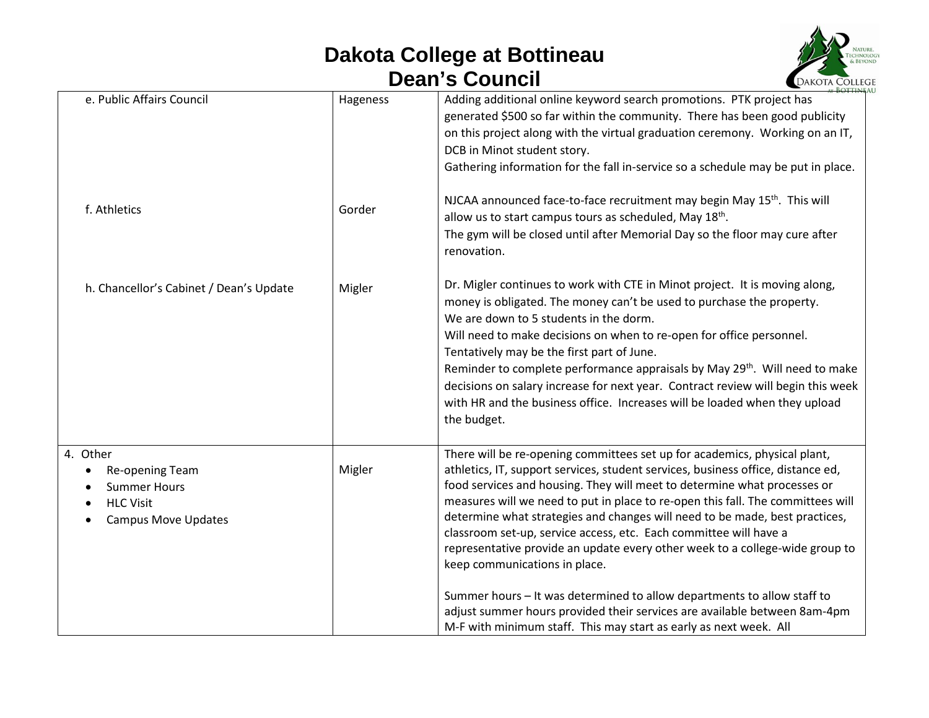

| Hageness | Adding additional online keyword search promotions. PTK project has                                                                                                                                                                                                                                                                                                                                                                                                                                                                                                                                                                                                                                                                                                                                                            |
|----------|--------------------------------------------------------------------------------------------------------------------------------------------------------------------------------------------------------------------------------------------------------------------------------------------------------------------------------------------------------------------------------------------------------------------------------------------------------------------------------------------------------------------------------------------------------------------------------------------------------------------------------------------------------------------------------------------------------------------------------------------------------------------------------------------------------------------------------|
|          | generated \$500 so far within the community. There has been good publicity<br>on this project along with the virtual graduation ceremony. Working on an IT,<br>DCB in Minot student story.<br>Gathering information for the fall in-service so a schedule may be put in place.                                                                                                                                                                                                                                                                                                                                                                                                                                                                                                                                                 |
| Gorder   | NJCAA announced face-to-face recruitment may begin May 15 <sup>th</sup> . This will<br>allow us to start campus tours as scheduled, May 18th.<br>The gym will be closed until after Memorial Day so the floor may cure after<br>renovation.                                                                                                                                                                                                                                                                                                                                                                                                                                                                                                                                                                                    |
| Migler   | Dr. Migler continues to work with CTE in Minot project. It is moving along,<br>money is obligated. The money can't be used to purchase the property.<br>We are down to 5 students in the dorm.<br>Will need to make decisions on when to re-open for office personnel.<br>Tentatively may be the first part of June.<br>Reminder to complete performance appraisals by May 29 <sup>th</sup> . Will need to make<br>decisions on salary increase for next year. Contract review will begin this week<br>with HR and the business office. Increases will be loaded when they upload<br>the budget.                                                                                                                                                                                                                               |
| Migler   | There will be re-opening committees set up for academics, physical plant,<br>athletics, IT, support services, student services, business office, distance ed,<br>food services and housing. They will meet to determine what processes or<br>measures will we need to put in place to re-open this fall. The committees will<br>determine what strategies and changes will need to be made, best practices,<br>classroom set-up, service access, etc. Each committee will have a<br>representative provide an update every other week to a college-wide group to<br>keep communications in place.<br>Summer hours - It was determined to allow departments to allow staff to<br>adjust summer hours provided their services are available between 8am-4pm<br>M-F with minimum staff. This may start as early as next week. All |
|          |                                                                                                                                                                                                                                                                                                                                                                                                                                                                                                                                                                                                                                                                                                                                                                                                                                |